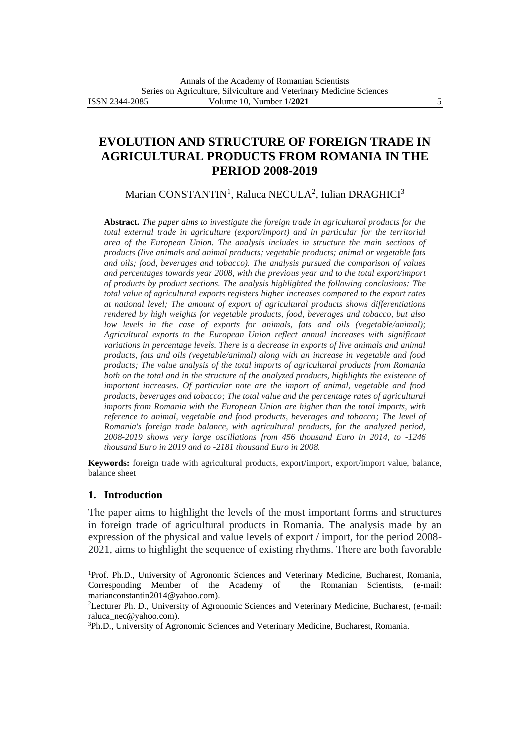# **EVOLUTION AND STRUCTURE OF FOREIGN TRADE IN AGRICULTURAL PRODUCTS FROM ROMANIA IN THE PERIOD 2008-2019**

Marian CONSTANTIN<sup>1</sup>, Raluca NECULA<sup>2</sup>, Iulian DRAGHICI<sup>3</sup>

**Abstract.** *The paper aims to investigate the foreign trade in agricultural products for the total external trade in agriculture (export/import) and in particular for the territorial area of the European Union. The analysis includes in structure the main sections of products (live animals and animal products; vegetable products; animal or vegetable fats and oils; food, beverages and tobacco). The analysis pursued the comparison of values and percentages towards year 2008, with the previous year and to the total export/import of products by product sections. The analysis highlighted the following conclusions: The total value of agricultural exports registers higher increases compared to the export rates at national level; The amount of export of agricultural products shows differentiations rendered by high weights for vegetable products, food, beverages and tobacco, but also low levels in the case of exports for animals, fats and oils (vegetable/animal)*; *Agricultural exports to the European Union reflect annual increases with significant variations in percentage levels. There is a decrease in exports of live animals and animal products, fats and oils (vegetable/animal) along with an increase in vegetable and food products; The value analysis of the total imports of agricultural products from Romania both on the total and in the structure of the analyzed products, highlights the existence of important increases. Of particular note are the import of animal, vegetable and food products, beverages and tobacco; The total value and the percentage rates of agricultural imports from Romania with the European Union are higher than the total imports, with reference to animal, vegetable and food products, beverages and tobacco; The level of Romania's foreign trade balance, with agricultural products, for the analyzed period, 2008-2019 shows very large oscillations from 456 thousand Euro in 2014, to -1246 thousand Euro in 2019 and to -2181 thousand Euro in 2008.*

**Keywords:** foreign trade with agricultural products, export/import, export/import value, balance, balance sheet

## **1. Introduction**

The paper aims to highlight the levels of the most important forms and structures in foreign trade of agricultural products in Romania. The analysis made by an expression of the physical and value levels of export / import, for the period 2008- 2021, aims to highlight the sequence of existing rhythms. There are both favorable

<sup>&</sup>lt;sup>1</sup>Prof. Ph.D., University of Agronomic Sciences and Veterinary Medicine, Bucharest, Romania, Corresponding Member of the Academy of the Romanian Scientists, (e-mail: marianconstantin2014@yahoo.com).

<sup>2</sup>Lecturer Ph. D., University of Agronomic Sciences and Veterinary Medicine, Bucharest, (e-mail: raluca\_nec@yahoo.com).

<sup>3</sup>Ph.D., University of Agronomic Sciences and Veterinary Medicine, Bucharest, Romania.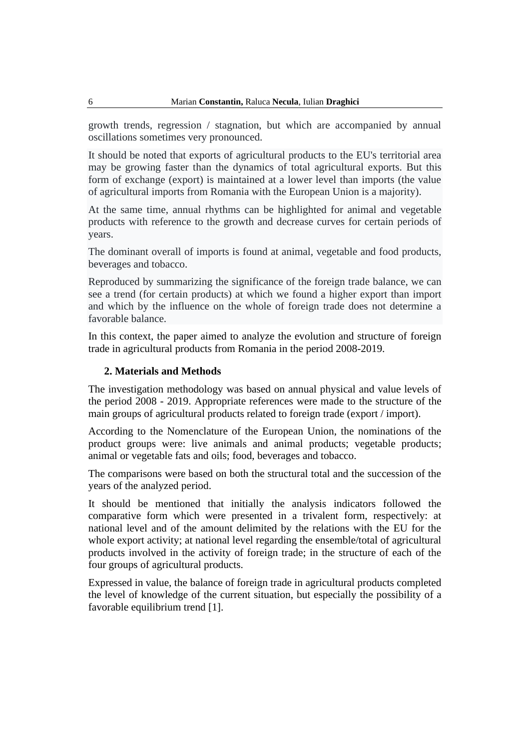growth trends, regression / stagnation, but which are accompanied by annual oscillations sometimes very pronounced.

It should be noted that exports of agricultural products to the EU's territorial area may be growing faster than the dynamics of total agricultural exports. But this form of exchange (export) is maintained at a lower level than imports (the value of agricultural imports from Romania with the European Union is a majority).

At the same time, annual rhythms can be highlighted for animal and vegetable products with reference to the growth and decrease curves for certain periods of years.

The dominant overall of imports is found at animal, vegetable and food products, beverages and tobacco.

Reproduced by summarizing the significance of the foreign trade balance, we can see a trend (for certain products) at which we found a higher export than import and which by the influence on the whole of foreign trade does not determine a favorable balance.

In this context, the paper aimed to analyze the evolution and structure of foreign trade in agricultural products from Romania in the period 2008-2019.

## **2. Materials and Methods**

The investigation methodology was based on annual physical and value levels of the period 2008 - 2019. Appropriate references were made to the structure of the main groups of agricultural products related to foreign trade (export / import).

According to the Nomenclature of the European Union, the nominations of the product groups were: live animals and animal products; vegetable products; animal or vegetable fats and oils; food, beverages and tobacco.

The comparisons were based on both the structural total and the succession of the years of the analyzed period.

It should be mentioned that initially the analysis indicators followed the comparative form which were presented in a trivalent form, respectively: at national level and of the amount delimited by the relations with the EU for the whole export activity; at national level regarding the ensemble/total of agricultural products involved in the activity of foreign trade; in the structure of each of the four groups of agricultural products.

Expressed in value, the balance of foreign trade in agricultural products completed the level of knowledge of the current situation, but especially the possibility of a favorable equilibrium trend [1].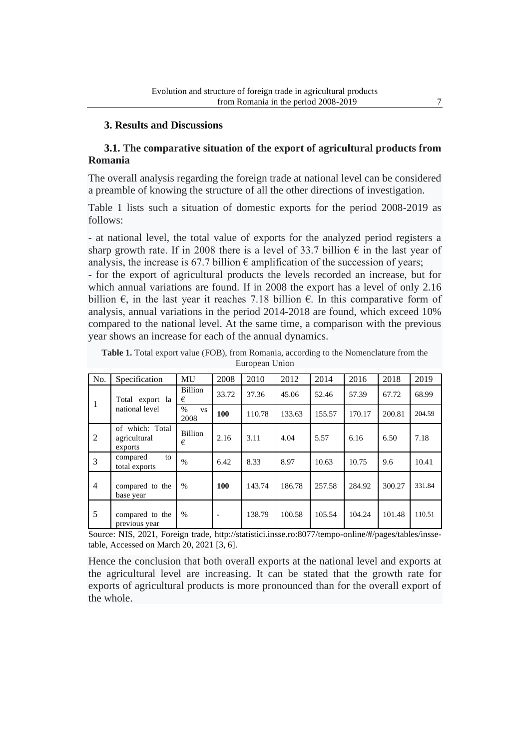## **3. Results and Discussions**

## **3.1. The comparative situation of the export of agricultural products from Romania**

The overall analysis regarding the foreign trade at national level can be considered a preamble of knowing the structure of all the other directions of investigation.

Table 1 lists such a situation of domestic exports for the period 2008-2019 as follows:

- at national level, the total value of exports for the analyzed period registers a sharp growth rate. If in 2008 there is a level of 33.7 billion  $\epsilon$  in the last year of analysis, the increase is 67.7 billion  $\epsilon$  amplification of the succession of years;

- for the export of agricultural products the levels recorded an increase, but for which annual variations are found. If in 2008 the export has a level of only 2.16 billion  $\epsilon$ , in the last year it reaches 7.18 billion  $\epsilon$ . In this comparative form of analysis, annual variations in the period 2014-2018 are found, which exceed 10% compared to the national level. At the same time, a comparison with the previous year shows an increase for each of the annual dynamics.

| No.            | Specification                              | <b>MU</b>                 | 2008  | 2010   | 2012   | 2014   | 2016   | 2018   | 2019                                        |
|----------------|--------------------------------------------|---------------------------|-------|--------|--------|--------|--------|--------|---------------------------------------------|
| 1              | Total export la                            | <b>Billion</b><br>€       | 33.72 | 37.36  | 45.06  | 52.46  | 57.39  | 67.72  | 68.99                                       |
|                | national level                             | $\%$<br><b>VS</b><br>2008 | 100   | 110.78 | 133.63 | 155.57 | 170.17 | 200.81 | 204.59<br>7.18<br>10.41<br>331.84<br>110.51 |
| 2              | of which: Total<br>agricultural<br>exports | <b>Billion</b><br>€       | 2.16  | 3.11   | 4.04   | 5.57   | 6.16   | 6.50   |                                             |
| 3              | compared<br>to<br>total exports            | $\frac{0}{0}$             | 6.42  | 8.33   | 8.97   | 10.63  | 10.75  | 9.6    |                                             |
| $\overline{4}$ | compared to the<br>base year               | $\%$                      | 100   | 143.74 | 186.78 | 257.58 | 284.92 | 300.27 |                                             |
| 5              | compared to the<br>previous year           | $\%$                      | ۰     | 138.79 | 100.58 | 105.54 | 104.24 | 101.48 |                                             |

**Table 1.** Total export value (FOB), from Romania, according to the Nomenclature from the European Union

Source: NIS, 2021, Foreign trade, [http://statistici.insse.ro:8077/tempo-online/#/pages/tables/insse](http://statistici.insse.ro:8077/tempo-online/#/pages/tables/insse-table)[table,](http://statistici.insse.ro:8077/tempo-online/#/pages/tables/insse-table) Accessed on March 20, 2021 [3, 6].

Hence the conclusion that both overall exports at the national level and exports at the agricultural level are increasing. It can be stated that the growth rate for exports of agricultural products is more pronounced than for the overall export of the whole.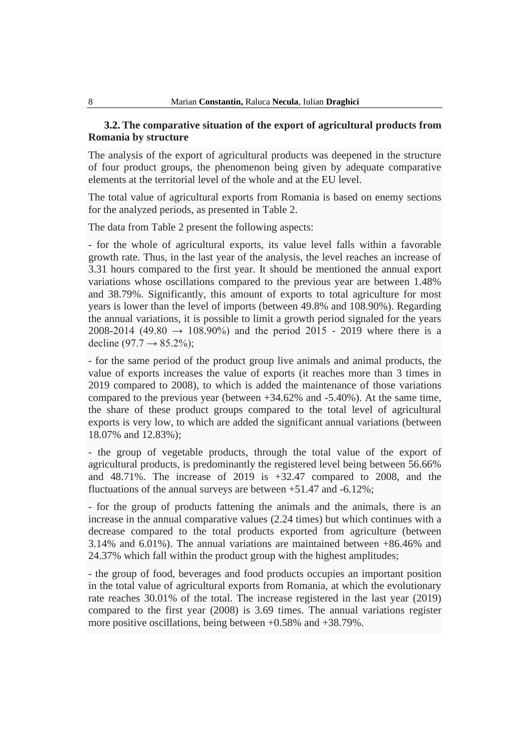#### 8 Marian **Constantin,** Raluca **Necula**, Iulian **Draghici**

## **3.2. The comparative situation of the export of agricultural products from Romania by structure**

The analysis of the export of agricultural products was deepened in the structure of four product groups, the phenomenon being given by adequate comparative elements at the territorial level of the whole and at the EU level.

The total value of agricultural exports from Romania is based on enemy sections for the analyzed periods, as presented in Table 2.

The data from Table 2 present the following aspects:

- for the whole of agricultural exports, its value level falls within a favorable growth rate. Thus, in the last year of the analysis, the level reaches an increase of 3.31 hours compared to the first year. It should be mentioned the annual export variations whose oscillations compared to the previous year are between 1.48% and 38.79%. Significantly, this amount of exports to total agriculture for most years is lower than the level of imports (between 49.8% and 108.90%). Regarding the annual variations, it is possible to limit a growth period signaled for the years 2008-2014 (49.80  $\rightarrow$  108.90%) and the period 2015 - 2019 where there is a decline  $(97.7 \rightarrow 85.2\%)$ ;

- for the same period of the product group live animals and animal products, the value of exports increases the value of exports (it reaches more than 3 times in 2019 compared to 2008), to which is added the maintenance of those variations compared to the previous year (between +34.62% and -5.40%). At the same time, the share of these product groups compared to the total level of agricultural exports is very low, to which are added the significant annual variations (between 18.07% and 12.83%);

- the group of vegetable products, through the total value of the export of agricultural products, is predominantly the registered level being between 56.66% and  $48.71\%$ . The increase of 2019 is  $+32.47$  compared to 2008, and the fluctuations of the annual surveys are between +51.47 and -6.12%;

- for the group of products fattening the animals and the animals, there is an increase in the annual comparative values (2.24 times) but which continues with a decrease compared to the total products exported from agriculture (between 3.14% and 6.01%). The annual variations are maintained between +86.46% and 24.37% which fall within the product group with the highest amplitudes;

- the group of food, beverages and food products occupies an important position in the total value of agricultural exports from Romania, at which the evolutionary rate reaches 30.01% of the total. The increase registered in the last year (2019) compared to the first year (2008) is 3.69 times. The annual variations register more positive oscillations, being between +0.58% and +38.79%.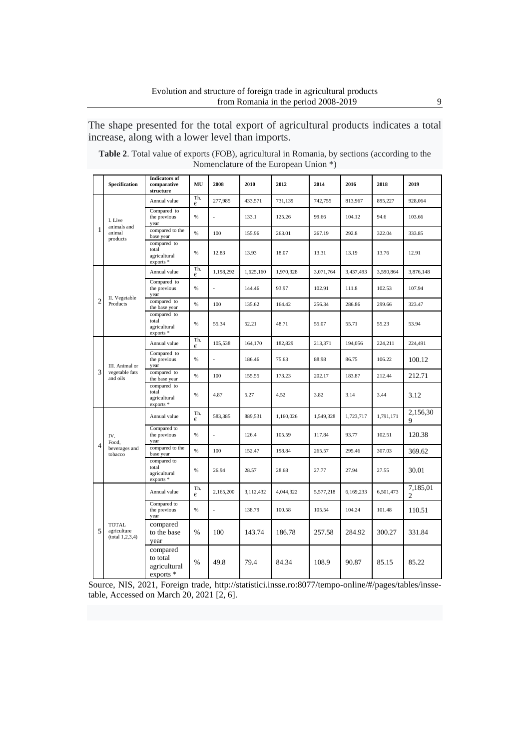The shape presented for the total export of agricultural products indicates a total increase, along with a lower level than imports.

| <b>Table 2.</b> Total value of exports (FOB), agricultural in Romania, by sections (according to the |                                       |  |
|------------------------------------------------------------------------------------------------------|---------------------------------------|--|
|                                                                                                      | Nomenclature of the European Union *) |  |

|                | Specification                                     | <b>Indicators</b> of<br>comparative<br>structure                      | MU       | 2008      | 2010      | 2012      | 2014      | 2016      | 2018      | 2019                       |
|----------------|---------------------------------------------------|-----------------------------------------------------------------------|----------|-----------|-----------|-----------|-----------|-----------|-----------|----------------------------|
|                |                                                   | Annual value                                                          | Th.<br>€ | 277,985   | 433.571   | 731.139   | 742,755   | 813,967   | 895.227   | 928,064                    |
|                | I. Live<br>animals and                            | Compared to<br>the previous<br>year                                   | %        |           | 133.1     | 125.26    | 99.66     | 104.12    | 94.6      | 103.66                     |
| $\mathbf{1}$   | animal<br>products                                | compared to the<br>base year                                          | $\%$     | 100       | 155.96    | 263.01    | 267.19    | 292.8     | 322.04    | 333.85                     |
|                |                                                   | compared to<br>total<br>agricultural<br>exports *                     | $\%$     | 12.83     | 13.93     | 18.07     | 13.31     | 13.19     | 13.76     | 12.91                      |
|                |                                                   | Annual value                                                          | Th.<br>€ | 1.198.292 | 1.625.160 | 1,970,328 | 3.071.764 | 3.437.493 | 3.590.864 | 3.876.148                  |
|                | II. Vegetable                                     | Compared to<br>the previous<br>year                                   | %        |           | 144.46    | 93.97     | 102.91    | 111.8     | 102.53    | 107.94                     |
| $\overline{2}$ | Products                                          | compared to<br>the base year                                          | %        | 100       | 135.62    | 164.42    | 256.34    | 286.86    | 299.66    | 323.47                     |
|                |                                                   | compared to<br>total<br>agricultural<br>exports*                      | $\%$     | 55.34     | 52.21     | 48.71     | 55.07     | 55.71     | 55.23     | 53.94                      |
|                | III. Animal or<br>vegetable fats<br>and oils      | Annual value                                                          | Th.<br>€ | 105,538   | 164,170   | 182,829   | 213,371   | 194,056   | 224,211   | 224,491                    |
|                |                                                   | Compared to<br>the previous<br>year                                   | %        |           | 186.46    | 75.63     | 88.98     | 86.75     | 106.22    | 100.12                     |
| 3              |                                                   | compared to<br>the base year                                          | $\%$     | 100       | 155.55    | 173.23    | 202.17    | 183.87    | 212.44    | 212.71                     |
|                |                                                   | compared to<br>total<br>agricultural<br>$\overline{\text{exports}}$ * | %        | 4.87      | 5.27      | 4.52      | 3.82      | 3.14      | 3.44      | 3.12                       |
|                |                                                   | Annual value                                                          | Th.<br>€ | 583,385   | 889,531   | 1,160,026 | 1,549,328 | 1,723,717 | 1,791,171 | 2,156,30<br>9              |
|                | IV.<br>Food,                                      | Compared to<br>the previous<br>year                                   | $\%$     |           | 126.4     | 105.59    | 117.84    | 93.77     | 102.51    | 120.38                     |
| $\overline{4}$ | beverages and<br>tobacco                          | compared to the<br>base year                                          | $\%$     | 100       | 152.47    | 198.84    | 265.57    | 295.46    | 307.03    | 369.62                     |
|                |                                                   | compared to<br>total<br>agricultural<br>$exports*$                    | %        | 26.94     | 28.57     | 28.68     | 27.77     | 27.94     | 27.55     | 30.01                      |
|                |                                                   | Annual value                                                          | Th.<br>€ | 2,165,200 | 3,112,432 | 4,044,322 | 5,577,218 | 6,169,233 | 6,501,473 | 7,185,01<br>$\overline{c}$ |
|                |                                                   | Compared to<br>the previous<br>year                                   | %        |           | 138.79    | 100.58    | 105.54    | 104.24    | 101.48    | 110.51                     |
| 5              | <b>TOTAL</b><br>agriculture<br>(total 1, 2, 3, 4) | compared<br>to the base<br>year                                       | %        | 100       | 143.74    | 186.78    | 257.58    | 284.92    | 300.27    | 331.84                     |
|                |                                                   | compared<br>to total<br>agricultural<br>$exports*$                    | $\%$     | 49.8      | 79.4      | 84.34     | 108.9     | 90.87     | 85.15     | 85.22                      |

Source, NIS, 2021, Foreign trade, [http://statistici.insse.ro:8077/tempo-online/#/pages/tables/insse](http://statistici.insse.ro:8077/tempo-online/#/pages/tables/insse-table)[table,](http://statistici.insse.ro:8077/tempo-online/#/pages/tables/insse-table) Accessed on March 20, 2021 [2, 6].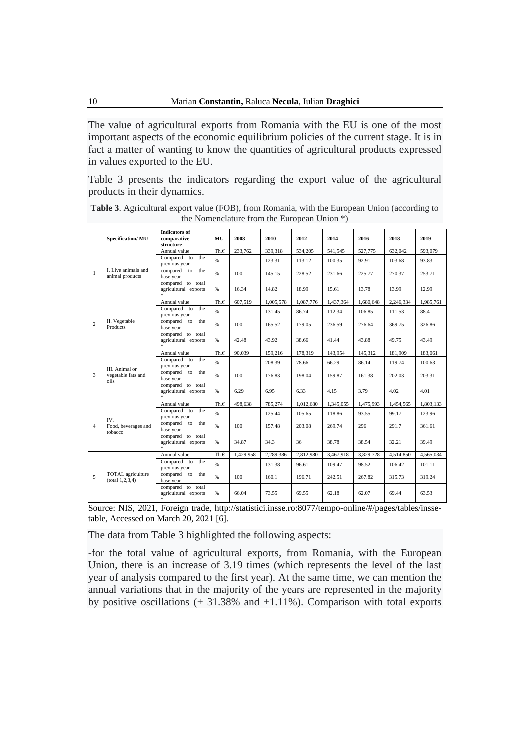The value of agricultural exports from Romania with the EU is one of the most important aspects of the economic equilibrium policies of the current stage. It is in fact a matter of wanting to know the quantities of agricultural products expressed in values exported to the EU.

Table 3 presents the indicators regarding the export value of the agricultural products in their dynamics.

|                | <b>Specification/MU</b>                        | <b>Indicators of</b><br>comparative<br>structure              | MU             | 2008      | 2010      | 2012      | 2014      | 2016      | 2018      | 2019      |
|----------------|------------------------------------------------|---------------------------------------------------------------|----------------|-----------|-----------|-----------|-----------|-----------|-----------|-----------|
|                |                                                | Annual value                                                  | Th.E           | 233,762   | 339.318   | 534.205   | 541.545   | 527,775   | 632,042   | 593,079   |
|                |                                                | Compared to<br>the<br>previous year                           | $\%$           |           | 123.31    | 113.12    | 100.35    | 92.91     | 103.68    | 93.83     |
| $\mathbf{1}$   | L Live animals and<br>animal products          | compared<br>the<br>to<br>base year                            | $\%$           | 100       | 145.15    | 228.52    | 231.66    | 225.77    | 270.37    | 253.71    |
|                |                                                | compared to total<br>agricultural exports                     | %              | 16.34     | 14.82     | 18.99     | 15.61     | 13.78     | 13.99     | 12.99     |
|                |                                                | Annual value                                                  | Th.E           | 607.519   | 1.005.578 | 1.087.776 | 1.437.364 | 1.680.648 | 2.246.334 | 1.985.761 |
|                |                                                | Compared to<br>the<br>previous year                           | $\%$           |           | 131.45    | 86.74     | 112.34    | 106.85    | 111.53    | 88.4      |
| $\overline{c}$ | II. Vegetable<br>Products                      | compared<br>the<br>to<br>base year                            | $\%$           | 100       | 165.52    | 179.05    | 236.59    | 276.64    | 369.75    | 326.86    |
|                |                                                | compared to total<br>agricultural exports<br>*                | %              | 42.48     | 43.92     | 38.66     | 41.44     | 43.88     | 49.75     | 43.49     |
|                | III. Animal or<br>vegetable fats and<br>oils   | Annual value                                                  | Th. $\epsilon$ | 90.039    | 159,216   | 178,319   | 143,954   | 145,312   | 181,909   | 183,061   |
|                |                                                | Compared to<br>the<br>previous year                           | %              |           | 208.39    | 78.66     | 66.29     | 86.14     | 119.74    | 100.63    |
| 3              |                                                | compared to<br>the<br>base year                               | %              | 100       | 176.83    | 198.04    | 159.87    | 161.38    | 202.03    | 203.31    |
|                |                                                | compared to total<br>agricultural exports<br>sk.              | %              | 6.29      | 6.95      | 6.33      | 4.15      | 3.79      | 4.02      | 4.01      |
|                |                                                | Annual value                                                  | Th.f           | 498,638   | 785,274   | 1.012.680 | 1,345,055 | 1.475.993 | 1.454.565 | 1.803.133 |
|                | IV.                                            | Compared to<br>the<br>previous year                           | %              |           | 125.44    | 105.65    | 118.86    | 93.55     | 99.17     | 123.96    |
| $\overline{4}$ | Food, beverages and<br>tobacco                 | compared<br>to<br>the<br>base year                            | %              | 100       | 157.48    | 203.08    | 269.74    | 296       | 291.7     | 361.61    |
|                |                                                | compared to total<br>agricultural exports<br>sk.              | %              | 34.87     | 34.3      | 36        | 38.78     | 38.54     | 32.21     | 39.49     |
|                |                                                | Annual value                                                  | Th.f           | 1.429.958 | 2.289.386 | 2.812.980 | 3,467,918 | 3,829,728 | 4.514.850 | 4.565.034 |
|                |                                                | Compared to<br>the<br>previous year                           | %              |           | 131.38    | 96.61     | 109.47    | 98.52     | 106.42    | 101.11    |
| 5              | <b>TOTAL</b> agriculture<br>(total 1, 2, 3, 4) | compared to<br>the<br>base year                               | %              | 100       | 160.1     | 196.71    | 242.51    | 267.82    | 315.73    | 319.24    |
|                |                                                | compared to total<br>agricultural exports<br>$\frac{1}{2\pi}$ | %              | 66.04     | 73.55     | 69.55     | 62.18     | 62.07     | 69.44     | 63.53     |

**Table 3**. Agricultural export value (FOB), from Romania, with the European Union (according to the Nomenclature from the European Union \*)

Source: NIS, 2021, Foreign trade, [http://statistici.insse.ro:8077/tempo-online/#/pages/tables/insse](http://statistici.insse.ro:8077/tempo-online/#/pages/tables/insse-table)[table,](http://statistici.insse.ro:8077/tempo-online/#/pages/tables/insse-table) Accessed on March 20, 2021 [6].

The data from Table 3 highlighted the following aspects:

-for the total value of agricultural exports, from Romania, with the European Union, there is an increase of 3.19 times (which represents the level of the last year of analysis compared to the first year). At the same time, we can mention the annual variations that in the majority of the years are represented in the majority by positive oscillations  $(+ 31.38\%$  and  $+1.11\%$ ). Comparison with total exports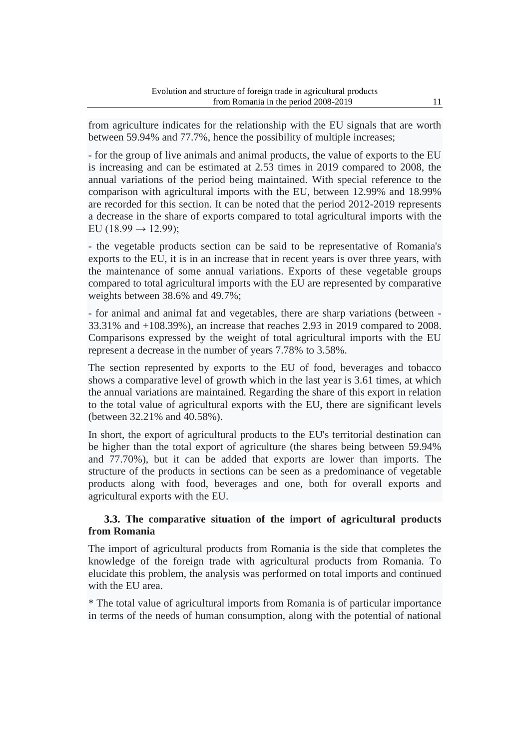from agriculture indicates for the relationship with the EU signals that are worth between 59.94% and 77.7%, hence the possibility of multiple increases;

- for the group of live animals and animal products, the value of exports to the EU is increasing and can be estimated at 2.53 times in 2019 compared to 2008, the annual variations of the period being maintained. With special reference to the comparison with agricultural imports with the EU, between 12.99% and 18.99% are recorded for this section. It can be noted that the period 2012-2019 represents a decrease in the share of exports compared to total agricultural imports with the EU (18.99  $\rightarrow$  12.99);

- the vegetable products section can be said to be representative of Romania's exports to the EU, it is in an increase that in recent years is over three years, with the maintenance of some annual variations. Exports of these vegetable groups compared to total agricultural imports with the EU are represented by comparative weights between 38.6% and 49.7%;

- for animal and animal fat and vegetables, there are sharp variations (between - 33.31% and +108.39%), an increase that reaches 2.93 in 2019 compared to 2008. Comparisons expressed by the weight of total agricultural imports with the EU represent a decrease in the number of years 7.78% to 3.58%.

The section represented by exports to the EU of food, beverages and tobacco shows a comparative level of growth which in the last year is 3.61 times, at which the annual variations are maintained. Regarding the share of this export in relation to the total value of agricultural exports with the EU, there are significant levels (between 32.21% and 40.58%).

In short, the export of agricultural products to the EU's territorial destination can be higher than the total export of agriculture (the shares being between 59.94% and 77.70%), but it can be added that exports are lower than imports. The structure of the products in sections can be seen as a predominance of vegetable products along with food, beverages and one, both for overall exports and agricultural exports with the EU.

# **3.3. The comparative situation of the import of agricultural products from Romania**

The import of agricultural products from Romania is the side that completes the knowledge of the foreign trade with agricultural products from Romania. To elucidate this problem, the analysis was performed on total imports and continued with the EU area.

\* The total value of agricultural imports from Romania is of particular importance in terms of the needs of human consumption, along with the potential of national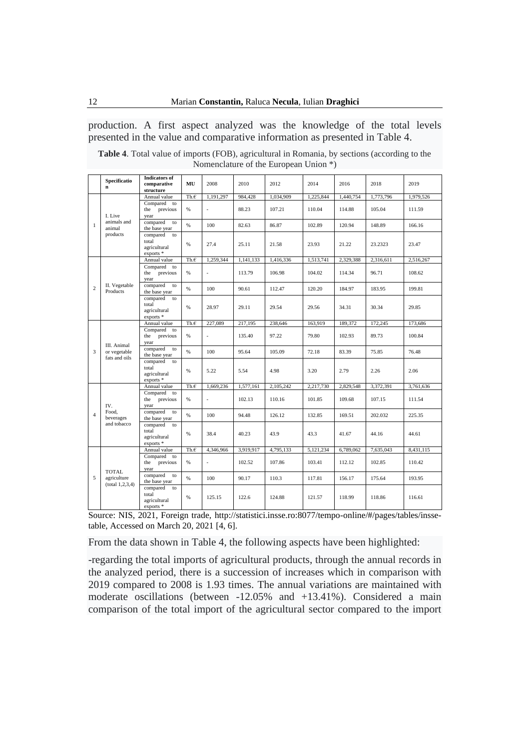production. A first aspect analyzed was the knowledge of the total levels presented in the value and comparative information as presented in Table 4.

| <b>Table 4.</b> Total value of imports (FOB), agricultural in Romania, by sections (according to the |  |
|------------------------------------------------------------------------------------------------------|--|
| Nomenclature of the European Union *)                                                                |  |

|                                            | Specificatio<br>n                 | <b>Indicators</b> of<br>comparative<br>structure      | MU        | 2008                     | 2010      | 2012      | 2014      | 2016      | 2018      | 2019      |
|--------------------------------------------|-----------------------------------|-------------------------------------------------------|-----------|--------------------------|-----------|-----------|-----------|-----------|-----------|-----------|
|                                            |                                   | Annual value                                          | Th.f      | 1,191,297                | 984,428   | 1,034,909 | 1,225,844 | 1,440,754 | 1,773,796 | 1,979,526 |
|                                            | I. Live                           | Compared to<br>previous<br>the<br>year                | %         | $\overline{a}$           | 88.23     | 107.21    | 110.04    | 114.88    | 105.04    | 111.59    |
| $\mathbf{1}$                               | animals and<br>animal             | compared<br>to<br>the base year                       | %         | 100                      | 82.63     | 86.87     | 102.89    | 120.94    | 148.89    | 166.16    |
| $\overline{c}$<br>3<br>$\overline{4}$<br>5 | products                          | compared<br>to<br>total<br>agricultural<br>$exports*$ | %         | 27.4                     | 25.11     | 21.58     | 23.93     | 21.22     | 23.2323   | 23.47     |
|                                            |                                   | Annual value                                          | Th.f      | 1,259,344                | 1,141,133 | 1,416,336 | 1,513,741 | 2,329,388 | 2,316,611 | 2,516,267 |
| Products                                   |                                   | Compared to<br>previous<br>the<br>year                | %         | $\overline{a}$           | 113.79    | 106.98    | 104.02    | 114.34    | 96.71     | 108.62    |
|                                            | II. Vegetable                     | compared<br>to<br>the base year                       | %         | 100                      | 90.61     | 112.47    | 120.20    | 184.97    | 183.95    | 199.81    |
|                                            |                                   | compared<br>to<br>total<br>agricultural<br>$exports*$ | %         | 28.97                    | 29.11     | 29.54     | 29.56     | 34.31     | 30.34     | 29.85     |
|                                            |                                   | Annual value                                          | Th.f      | 227,089                  | 217,195   | 238,646   | 163,919   | 189,372   | 172,245   | 173,686   |
|                                            | III. Animal                       | Compared to<br>previous<br>the<br>year                | %         | $\overline{a}$           | 135.40    | 97.22     | 79.80     | 102.93    | 89.73     | 100.84    |
|                                            | or vegetable<br>fats and oils     | compared<br>to<br>the base year                       | %         | 100                      | 95.64     | 105.09    | 72.18     | 83.39     | 75.85     | 76.48     |
|                                            |                                   | compared<br>to<br>total<br>agricultural<br>$exports*$ | %         | 5.22                     | 5.54      | 4.98      | 3.20      | 2.79      | 2.26      | 2.06      |
|                                            |                                   | Annual value                                          | Th.f      | 1,669,236                | 1,577,161 | 2,105,242 | 2,217,730 | 2,829,548 | 3,372,391 | 3,761,636 |
|                                            | IV.                               | Compared to<br>previous<br>the<br>year                | %         | $\overline{\phantom{a}}$ | 102.13    | 110.16    | 101.85    | 109.68    | 107.15    | 111.54    |
|                                            | Food,<br>beverages                | compared<br>to<br>the base year                       | %         | 100                      | 94.48     | 126.12    | 132.85    | 169.51    | 202.032   | 225.35    |
|                                            | and tobacco                       | compared<br>to<br>total<br>agricultural<br>$exports*$ | %         | 38.4                     | 40.23     | 43.9      | 43.3      | 41.67     | 44.16     | 44.61     |
|                                            |                                   | Annual value                                          | Th. $\in$ | 4,346,966                | 3,919,917 | 4,795,133 | 5,121,234 | 6,789,062 | 7,635,043 | 8,431,115 |
|                                            | <b>TOTAL</b>                      | Compared to<br>previous<br>the<br>year                | %         | $\overline{a}$           | 102.52    | 107.86    | 103.41    | 112.12    | 102.85    | 110.42    |
|                                            | agriculture<br>(total 1, 2, 3, 4) | compared<br>to<br>the base year                       | %         | 100                      | 90.17     | 110.3     | 117.81    | 156.17    | 175.64    | 193.95    |
|                                            |                                   | compared<br>to<br>total<br>agricultural<br>$exports*$ | %         | 125.15                   | 122.6     | 124.88    | 121.57    | 118.99    | 118.86    | 116.61    |

Source: NIS, 2021, Foreign trade, [http://statistici.insse.ro:8077/tempo-online/#/pages/tables/insse](http://statistici.insse.ro:8077/tempo-online/#/pages/tables/insse-table)[table,](http://statistici.insse.ro:8077/tempo-online/#/pages/tables/insse-table) Accessed on March 20, 2021 [4, 6].

From the data shown in Table 4, the following aspects have been highlighted:

-regarding the total imports of agricultural products, through the annual records in the analyzed period, there is a succession of increases which in comparison with 2019 compared to 2008 is 1.93 times. The annual variations are maintained with moderate oscillations (between -12.05% and +13.41%). Considered a main comparison of the total import of the agricultural sector compared to the import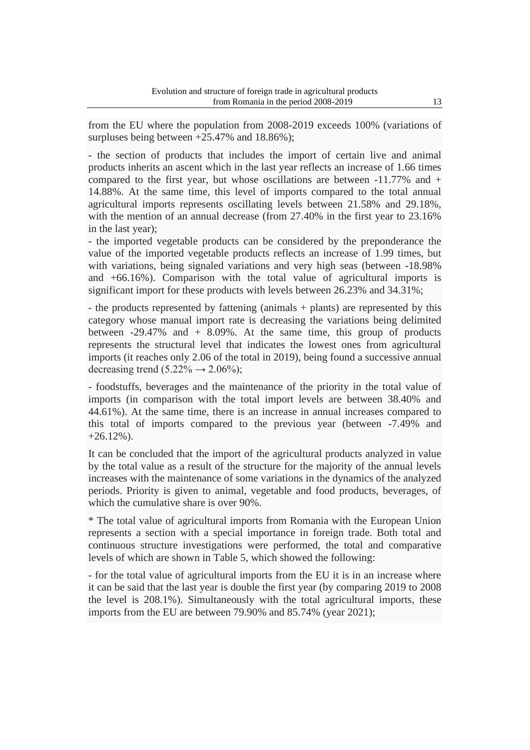from the EU where the population from 2008-2019 exceeds 100% (variations of surpluses being between  $+25.47\%$  and 18.86%);

- the section of products that includes the import of certain live and animal products inherits an ascent which in the last year reflects an increase of 1.66 times compared to the first year, but whose oscillations are between  $-11.77\%$  and  $+$ 14.88%. At the same time, this level of imports compared to the total annual agricultural imports represents oscillating levels between 21.58% and 29.18%, with the mention of an annual decrease (from 27.40% in the first year to 23.16% in the last year);

- the imported vegetable products can be considered by the preponderance the value of the imported vegetable products reflects an increase of 1.99 times, but with variations, being signaled variations and very high seas (between -18.98% and +66.16%). Comparison with the total value of agricultural imports is significant import for these products with levels between 26.23% and 34.31%;

- the products represented by fattening (animals + plants) are represented by this category whose manual import rate is decreasing the variations being delimited between  $-29.47\%$  and  $+8.09\%$ . At the same time, this group of products represents the structural level that indicates the lowest ones from agricultural imports (it reaches only 2.06 of the total in 2019), being found a successive annual decreasing trend  $(5.22\% \rightarrow 2.06\%);$ 

- foodstuffs, beverages and the maintenance of the priority in the total value of imports (in comparison with the total import levels are between 38.40% and 44.61%). At the same time, there is an increase in annual increases compared to this total of imports compared to the previous year (between -7.49% and  $+26.12\%$ ).

It can be concluded that the import of the agricultural products analyzed in value by the total value as a result of the structure for the majority of the annual levels increases with the maintenance of some variations in the dynamics of the analyzed periods. Priority is given to animal, vegetable and food products, beverages, of which the cumulative share is over 90%.

\* The total value of agricultural imports from Romania with the European Union represents a section with a special importance in foreign trade. Both total and continuous structure investigations were performed, the total and comparative levels of which are shown in Table 5, which showed the following:

- for the total value of agricultural imports from the EU it is in an increase where it can be said that the last year is double the first year (by comparing 2019 to 2008 the level is 208.1%). Simultaneously with the total agricultural imports, these imports from the EU are between 79.90% and 85.74% (year 2021);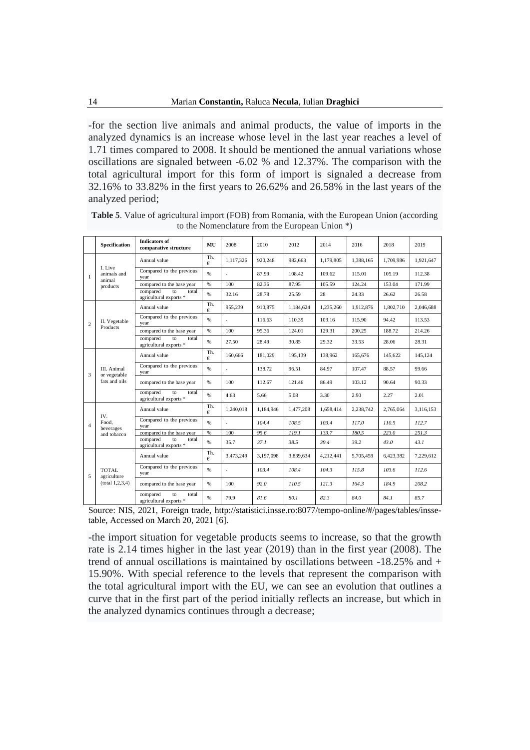-for the section live animals and animal products, the value of imports in the analyzed dynamics is an increase whose level in the last year reaches a level of 1.71 times compared to 2008. It should be mentioned the annual variations whose oscillations are signaled between -6.02 % and 12.37%. The comparison with the total agricultural import for this form of import is signaled a decrease from 32.16% to 33.82% in the first years to 26.62% and 26.58% in the last years of the analyzed period;

|                | <b>Specification</b>                         | <b>Indicators of</b><br>comparative structure     | MU       | 2008           | 2010      | 2012      | 2014      | 2016      | 2018      | 2019      |
|----------------|----------------------------------------------|---------------------------------------------------|----------|----------------|-----------|-----------|-----------|-----------|-----------|-----------|
|                |                                              | Annual value                                      | Th.<br>€ | 1.117.326      | 920,248   | 982.663   | 1.179.805 | 1.388.165 | 1.709.986 | 1.921.647 |
| 1              | L Live<br>animals and<br>animal              | Compared to the previous<br>year                  | %        |                | 87.99     | 108.42    | 109.62    | 115.01    | 105.19    | 112.38    |
|                | products                                     | compared to the base year                         | %        | 100            | 82.36     | 87.95     | 105.59    | 124.24    | 153.04    | 171.99    |
|                |                                              | compared<br>total<br>to<br>agricultural exports * | %        | 32.16          | 28.78     | 25.59     | 28        | 24.33     | 26.62     | 26.58     |
|                |                                              | Annual value                                      | Th.<br>€ | 955,239        | 910,875   | 1.184.624 | 1.235.260 | 1.912.876 | 1.802.710 | 2.046.688 |
| $\overline{c}$ | II. Vegetable                                | Compared to the previous<br>vear                  | %        |                | 116.63    | 110.39    | 103.16    | 115.90    | 94.42     | 113.53    |
|                | Products                                     | compared to the base year                         | $\%$     | 100            | 95.36     | 124.01    | 129.31    | 200.25    | 188.72    | 214.26    |
|                |                                              | compared<br>to<br>total<br>agricultural exports * | %        | 27.50          | 28.49     | 30.85     | 29.32     | 33.53     | 28.06     | 28.31     |
|                | III. Animal<br>or vegetable<br>fats and oils | Annual value                                      | Th.<br>€ | 160,666        | 181.029   | 195.139   | 138,962   | 165,676   | 145.622   | 145.124   |
| 3              |                                              | Compared to the previous<br>year                  | %        |                | 138.72    | 96.51     | 84.97     | 107.47    | 88.57     | 99.66     |
|                |                                              | compared to the base year                         | %        | 100            | 112.67    | 121.46    | 86.49     | 103.12    | 90.64     | 90.33     |
|                |                                              | compared<br>total<br>to<br>agricultural exports * | %        | 4.63           | 5.66      | 5.08      | 3.30      | 2.90      | 2.27      | 2.01      |
|                | IV.                                          | Annual value                                      | Th.<br>€ | 1.240.018      | 1.184.946 | 1.477.208 | 1.658.414 | 2.238.742 | 2.765.064 | 3.116.153 |
| $\overline{A}$ | Food.<br>beverages                           | Compared to the previous<br>year                  | %        | $\overline{a}$ | 104.4     | 108.5     | 103.4     | 117.0     | 110.5     | 112.7     |
|                | and tobacco                                  | compared to the base year                         | %        | 100            | 95.6      | I19.1     | 133.7     | 180.5     | 223.0     | 251.3     |
|                |                                              | compared<br>total<br>to<br>agricultural exports * | %        | 35.7           | 37.1      | 38.5      | 39.4      | 39.2      | 43.0      | 43.1      |
|                |                                              | Annual value                                      | Th.<br>€ | 3.473.249      | 3,197,098 | 3,839,634 | 4,212,441 | 5,705,459 | 6,423,382 | 7,229,612 |
| 5              | TOTAL.<br>agriculture                        | Compared to the previous<br>year                  | %        | $\overline{a}$ | 103.4     | 108.4     | 104.3     | 115.8     | 103.6     | 112.6     |
|                | (total 1, 2, 3, 4)                           | compared to the base year                         | %        | 100            | 92.0      | 110.5     | 121.3     | 164.3     | 184.9     | 208.2     |
|                |                                              | compared<br>total<br>to<br>agricultural exports * | %        | 79.9           | 81.6      | 80.1      | 82.3      | 84.0      | 84.1      | 85.7      |

**Table 5**. Value of agricultural import (FOB) from Romania, with the European Union (according to the Nomenclature from the European Union \*)

Source: NIS, 2021, Foreign trade, [http://statistici.insse.ro:8077/tempo-online/#/pages/tables/insse](http://statistici.insse.ro:8077/tempo-online/#/pages/tables/insse-table)[table,](http://statistici.insse.ro:8077/tempo-online/#/pages/tables/insse-table) Accessed on March 20, 2021 [6].

-the import situation for vegetable products seems to increase, so that the growth rate is 2.14 times higher in the last year (2019) than in the first year (2008). The trend of annual oscillations is maintained by oscillations between -18.25% and + 15.90%. With special reference to the levels that represent the comparison with the total agricultural import with the EU, we can see an evolution that outlines a curve that in the first part of the period initially reflects an increase, but which in the analyzed dynamics continues through a decrease;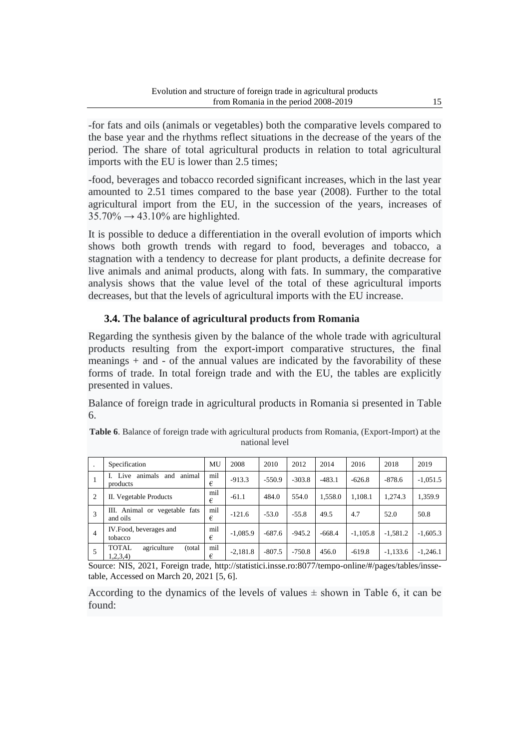-for fats and oils (animals or vegetables) both the comparative levels compared to the base year and the rhythms reflect situations in the decrease of the years of the period. The share of total agricultural products in relation to total agricultural imports with the EU is lower than 2.5 times;

-food, beverages and tobacco recorded significant increases, which in the last year amounted to 2.51 times compared to the base year (2008). Further to the total agricultural import from the EU, in the succession of the years, increases of  $35.70\% \rightarrow 43.10\%$  are highlighted.

It is possible to deduce a differentiation in the overall evolution of imports which shows both growth trends with regard to food, beverages and tobacco, a stagnation with a tendency to decrease for plant products, a definite decrease for live animals and animal products, along with fats. In summary, the comparative analysis shows that the value level of the total of these agricultural imports decreases, but that the levels of agricultural imports with the EU increase.

# **3.4. The balance of agricultural products from Romania**

Regarding the synthesis given by the balance of the whole trade with agricultural products resulting from the export-import comparative structures, the final meanings + and - of the annual values are indicated by the favorability of these forms of trade. In total foreign trade and with the EU, the tables are explicitly presented in values.

Balance of foreign trade in agricultural products in Romania si presented in Table 6.

|                | Specification                                     | MU       | 2008       | 2010     | 2012     | 2014     | 2016       | 2018       | 2019       |
|----------------|---------------------------------------------------|----------|------------|----------|----------|----------|------------|------------|------------|
|                | animals<br>Live<br>animal<br>and<br>products      | mil<br>€ | $-913.3$   | $-550.9$ | $-303.8$ | $-483.1$ | $-626.8$   | $-878.6$   | $-1,051.5$ |
| 2              | II. Vegetable Products                            | mil<br>€ | $-61.1$    | 484.0    | 554.0    | 1,558.0  | 1.108.1    | 1.274.3    | 1,359.9    |
| 3              | III. Animal or vegetable fats<br>and oils         | mil<br>€ | $-121.6$   | $-53.0$  | $-55.8$  | 49.5     | 4.7        | 52.0       | 50.8       |
| $\overline{4}$ | IV.Food, beverages and<br>tobacco                 | mil<br>€ | $-1,085.9$ | $-687.6$ | $-945.2$ | $-668.4$ | $-1,105.8$ | $-1,581.2$ | $-1,605.3$ |
| 5              | <b>TOTAL</b><br>agriculture<br>(total<br>1,2,3,4) | mil<br>€ | $-2,181.8$ | $-807.5$ | $-750.8$ | 456.0    | $-619.8$   | $-1,133.6$ | $-1,246.1$ |

**Table 6**. Balance of foreign trade with agricultural products from Romania, (Export-Import) at the national level

Source: NIS, 2021, Foreign trade, [http://statistici.insse.ro:8077/tempo-online/#/pages/tables/insse](http://statistici.insse.ro:8077/tempo-online/#/pages/tables/insse-table)[table,](http://statistici.insse.ro:8077/tempo-online/#/pages/tables/insse-table) Accessed on March 20, 2021 [5, 6].

According to the dynamics of the levels of values  $\pm$  shown in Table 6, it can be found: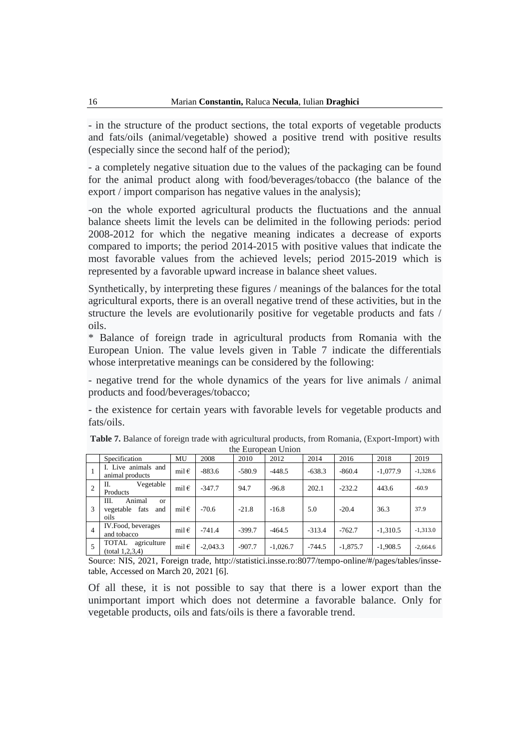- in the structure of the product sections, the total exports of vegetable products and fats/oils (animal/vegetable) showed a positive trend with positive results (especially since the second half of the period);

- a completely negative situation due to the values of the packaging can be found for the animal product along with food/beverages/tobacco (the balance of the export / import comparison has negative values in the analysis);

-on the whole exported agricultural products the fluctuations and the annual balance sheets limit the levels can be delimited in the following periods: period 2008-2012 for which the negative meaning indicates a decrease of exports compared to imports; the period 2014-2015 with positive values that indicate the most favorable values from the achieved levels; period 2015-2019 which is represented by a favorable upward increase in balance sheet values.

Synthetically, by interpreting these figures / meanings of the balances for the total agricultural exports, there is an overall negative trend of these activities, but in the structure the levels are evolutionarily positive for vegetable products and fats / oils.

\* Balance of foreign trade in agricultural products from Romania with the European Union. The value levels given in Table 7 indicate the differentials whose interpretative meanings can be considered by the following:

- negative trend for the whole dynamics of the years for live animals / animal products and food/beverages/tobacco;

- the existence for certain years with favorable levels for vegetable products and fats/oils.

|                |                                                                   |                |            |          | $\mathbf{u}$ . Due obegin the set |          |            |            |            |
|----------------|-------------------------------------------------------------------|----------------|------------|----------|-----------------------------------|----------|------------|------------|------------|
|                | Specification                                                     | MU             | 2008       | 2010     | 2012                              | 2014     | 2016       | 2018       | 2019       |
|                | I. Live animals and<br>animal products                            | mil $\epsilon$ | $-883.6$   | -580.9   | $-448.5$                          | $-638.3$ | $-860.4$   | $-1.077.9$ | $-1,328.6$ |
| $\overline{c}$ | Vegetable<br>П.<br>Products                                       | mil $\epsilon$ | $-347.7$   | 94.7     | $-96.8$                           | 202.1    | $-232.2$   | 443.6      | $-60.9$    |
| 3              | Animal<br>Ш.<br><sub>or</sub><br>fats<br>vegetable<br>and<br>oils | mil $\epsilon$ | $-70.6$    | $-21.8$  | $-16.8$                           | 5.0      | $-20.4$    | 36.3       | 37.9       |
| $\overline{4}$ | IV. Food, beverages<br>and tobacco                                | mil $\epsilon$ | $-741.4$   | $-399.7$ | $-464.5$                          | $-313.4$ | $-762.7$   | $-1.310.5$ | $-1,313.0$ |
| 5              | TOTAL<br>agriculture<br>(total 1, 2, 3, 4)                        | mil $\epsilon$ | $-2.043.3$ | $-907.7$ | $-1,026.7$                        | $-744.5$ | $-1,875.7$ | $-1,908.5$ | $-2,664.6$ |

| <b>Table 7.</b> Balance of foreign trade with agricultural products, from Romania, (Export-Import) with |  |
|---------------------------------------------------------------------------------------------------------|--|
| the European Union                                                                                      |  |

Source: NIS, 2021, Foreign trade, [http://statistici.insse.ro:8077/tempo-online/#/pages/tables/insse](http://statistici.insse.ro:8077/tempo-online/#/pages/tables/insse-table)[table,](http://statistici.insse.ro:8077/tempo-online/#/pages/tables/insse-table) Accessed on March 20, 2021 [6].

Of all these, it is not possible to say that there is a lower export than the unimportant import which does not determine a favorable balance. Only for vegetable products, oils and fats/oils is there a favorable trend.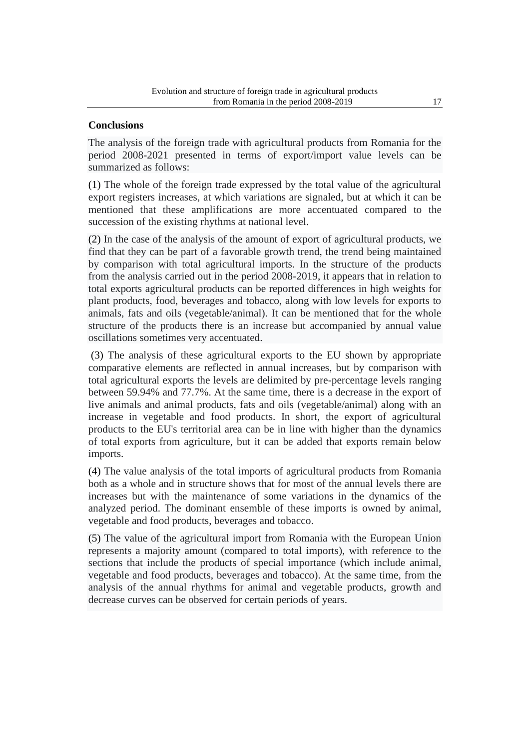## **Conclusions**

The analysis of the foreign trade with agricultural products from Romania for the period 2008-2021 presented in terms of export/import value levels can be summarized as follows:

(1) The whole of the foreign trade expressed by the total value of the agricultural export registers increases, at which variations are signaled, but at which it can be mentioned that these amplifications are more accentuated compared to the succession of the existing rhythms at national level.

(2) In the case of the analysis of the amount of export of agricultural products, we find that they can be part of a favorable growth trend, the trend being maintained by comparison with total agricultural imports. In the structure of the products from the analysis carried out in the period 2008-2019, it appears that in relation to total exports agricultural products can be reported differences in high weights for plant products, food, beverages and tobacco, along with low levels for exports to animals, fats and oils (vegetable/animal). It can be mentioned that for the whole structure of the products there is an increase but accompanied by annual value oscillations sometimes very accentuated.

(3) The analysis of these agricultural exports to the EU shown by appropriate comparative elements are reflected in annual increases, but by comparison with total agricultural exports the levels are delimited by pre-percentage levels ranging between 59.94% and 77.7%. At the same time, there is a decrease in the export of live animals and animal products, fats and oils (vegetable/animal) along with an increase in vegetable and food products. In short, the export of agricultural products to the EU's territorial area can be in line with higher than the dynamics of total exports from agriculture, but it can be added that exports remain below imports.

(4) The value analysis of the total imports of agricultural products from Romania both as a whole and in structure shows that for most of the annual levels there are increases but with the maintenance of some variations in the dynamics of the analyzed period. The dominant ensemble of these imports is owned by animal, vegetable and food products, beverages and tobacco.

(5) The value of the agricultural import from Romania with the European Union represents a majority amount (compared to total imports), with reference to the sections that include the products of special importance (which include animal, vegetable and food products, beverages and tobacco). At the same time, from the analysis of the annual rhythms for animal and vegetable products, growth and decrease curves can be observed for certain periods of years.